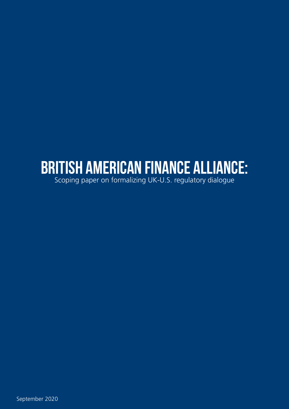# BRITISH AMERICAN FINANCE ALLIANCE:

Scoping paper on formalizing UK-U.S. regulatory dialogue

September 2020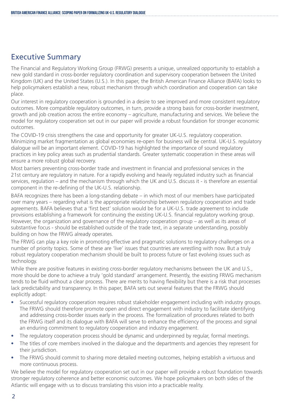## Executive Summary

The Financial and Regulatory Working Group (FRWG) presents a unique, unrealized opportunity to establish a new gold standard in cross-border regulatory coordination and supervisory cooperation between the United Kingdom (UK) and the United States (U.S.). In this paper, the British American Finance Alliance (BAFA) looks to help policymakers establish a new, robust mechanism through which coordination and cooperation can take place.

Our interest in regulatory cooperation is grounded in a desire to see improved and more consistent regulatory outcomes. More compatible regulatory outcomes, in turn, provide a strong basis for cross-border investment, growth and job creation across the entire economy – agriculture, manufacturing and services. We believe the model for regulatory cooperation set out in our paper will provide a robust foundation for stronger economic outcomes.

The COVID-19 crisis strengthens the case and opportunity for greater UK-U.S. regulatory cooperation. Minimizing market fragmentation as global economies re-open for business will be central. UK-U.S. regulatory dialogue will be an important element. COVID-19 has highlighted the importance of sound regulatory practices in key policy areas such as prudential standards. Greater systematic cooperation in these areas will ensure a more robust global recovery.

Most barriers preventing cross-border trade and investment in financial and professional services in the 21st century are regulatory in nature. For a rapidly evolving and heavily regulated industry such as financial services, regulation – and the mechanism through which the UK and U.S. discuss it - is therefore an essential component in the re-defining of the UK-U.S. relationship.

BAFA recognizes there has been a long-standing debate – in which most of our members have participated over many years – regarding what is the appropriate relationship between regulatory cooperation and trade agreements. BAFA believes that a 'first best' solution would be for a UK-U.S. trade agreement to include provisions establishing a framework for continuing the existing UK-U.S. financial regulatory working group. However, the organization and governance of the regulatory cooperation group – as well as its areas of substantive focus - should be established outside of the trade text, in a separate understanding, possibly building on how the FRWG already operates.

The FRWG can play a key role in promoting effective and pragmatic solutions to regulatory challenges on a number of priority topics. Some of these are 'live' issues that countries are wrestling with now. But a truly robust regulatory cooperation mechanism should be built to process future or fast evolving issues such as technology.

While there are positive features in existing cross-border regulatory mechanisms between the UK and U.S., more should be done to achieve a truly 'gold standard' arrangement. Presently, the existing FRWG mechanism tends to be fluid without a clear process. There are merits to having flexibility but there is a risk that processes lack predictability and transparency. In this paper, BAFA sets out several features that the FRWG should explicitly adopt:

- Successful regulatory cooperation requires robust stakeholder engagement including with industry groups. The FRWG should therefore promote open and direct engagement with industry to facilitate identifying and addressing cross-border issues early in the process. The formalization of procedures related to both the FRWG itself and its dialogue with BAFA will serve to enhance the efficiency of the process and signal an enduring commitment to regulatory cooperation and industry engagement.
- The regulatory cooperation process should be dynamic and underpinned by regular, formal meetings.
- The titles of core members involved in the dialogue and the departments and agencies they represent for their jurisdiction.
- The FRWG should commit to sharing more detailed meeting outcomes, helping establish a virtuous and more continuous process.

We believe the model for regulatory cooperation set out in our paper will provide a robust foundation towards stronger regulatory coherence and better economic outcomes. We hope policymakers on both sides of the Atlantic will engage with us to discuss translating this vision into a practicable reality.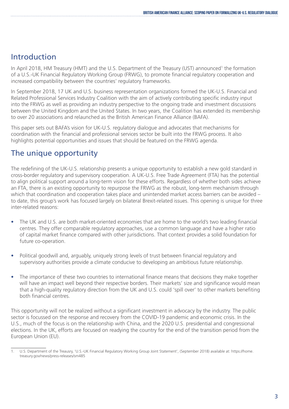## Introduction

In April 2018, HM Treasury (HMT) and the U.S. Department of the Treasury (UST) announced<sup>1</sup> the formation of a U.S.-UK Financial Regulatory Working Group (FRWG), to promote financial regulatory cooperation and increased compatibility between the countries' regulatory frameworks.

In September 2018, 17 UK and U.S. business representation organizations formed the UK-U.S. Financial and Related Professional Services Industry Coalition with the aim of actively contributing specific industry input into the FRWG as well as providing an industry perspective to the ongoing trade and investment discussions between the United Kingdom and the United States. In two years, the Coalition has extended its membership to over 20 associations and relaunched as the British American Finance Alliance (BAFA).

This paper sets out BAFA's vision for UK-U.S. regulatory dialogue and advocates that mechanisms for coordination with the financial and professional services sector be built into the FRWG process. It also highlights potential opportunities and issues that should be featured on the FRWG agenda.

## The unique opportunity

The redefining of the UK-U.S. relationship presents a unique opportunity to establish a new gold standard in cross-border regulatory and supervisory cooperation. A UK-U.S. Free Trade Agreement (FTA) has the potential to align political support around a long-term vision for these efforts. Regardless of whether both sides achieve an FTA, there is an existing opportunity to repurpose the FRWG as the robust, long-term mechanism through which that coordination and cooperation takes place and unintended market access barriers can be avoided – to date, this group's work has focused largely on bilateral Brexit-related issues. This opening is unique for three inter-related reasons:

- The UK and U.S. are both market-oriented economies that are home to the world's two leading financial centres. They offer comparable regulatory approaches, use a common language and have a higher ratio of capital market finance compared with other jurisdictions. That context provides a solid foundation for future co-operation.
- Political goodwill and, arguably, uniquely strong levels of trust between financial regulatory and supervisory authorities provide a climate conducive to developing an ambitious future relationship.
- The importance of these two countries to international finance means that decisions they make together will have an impact well beyond their respective borders. Their markets' size and significance would mean that a high-quality regulatory direction from the UK and U.S. could 'spill over' to other markets benefiting both financial centres.

This opportunity will not be realized without a significant investment in advocacy by the industry. The public sector is focussed on the response and recovery from the COVID-19 pandemic and economic crisis. In the U.S., much of the focus is on the relationship with China, and the 2020 U.S. presidential and congressional elections. In the UK, efforts are focused on readying the country for the end of the transition period from the European Union (EU).

<sup>1.</sup> U.S. Department of the Treausry, 'U.S.-UK Financial Regulatory Working Group Joint Statement', (September 2018) available at: https://home. treasury.gov/news/press-releases/sm485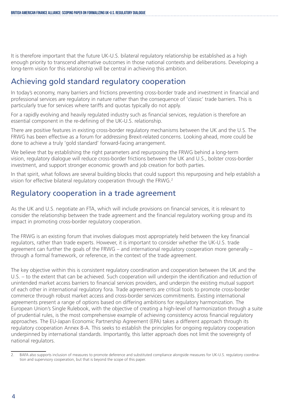It is therefore important that the future UK-U.S. bilateral regulatory relationship be established as a high enough priority to transcend alternative outcomes in those national contexts and deliberations. Developing a long-term vision for this relationship will be central in achieving this ambition.

## Achieving gold standard regulatory cooperation

In today's economy, many barriers and frictions preventing cross-border trade and investment in financial and professional services are regulatory in nature rather than the consequence of 'classic' trade barriers. This is particularly true for services where tariffs and quotas typically do not apply.

For a rapidly evolving and heavily regulated industry such as financial services, regulation is therefore an essential component in the re-defining of the UK-U.S. relationship.

There are positive features in existing cross-border regulatory mechanisms between the UK and the U.S. The FRWG has been effective as a forum for addressing Brexit-related concerns. Looking ahead, more could be done to achieve a truly 'gold standard' forward-facing arrangement.

We believe that by establishing the right parameters and repurposing the FRWG behind a long-term vision, regulatory dialogue will reduce cross-border frictions between the UK and U.S., bolster cross-border investment, and support stronger economic growth and job creation for both parties.

In that spirit, what follows are several building blocks that could support this repurposing and help establish a vision for effective bilateral regulatory cooperation through the FRWG.2

### Regulatory cooperation in a trade agreement

As the UK and U.S. negotiate an FTA, which will include provisions on financial services, it is relevant to consider the relationship between the trade agreement and the financial regulatory working group and its impact in promoting cross-border regulatory cooperation.

The FRWG is an existing forum that involves dialogues most appropriately held between the key financial regulators, rather than trade experts. However, it is important to consider whether the UK-U.S. trade agreement can further the goals of the FRWG – and international regulatory cooperation more generally – through a formal framework, or reference, in the context of the trade agreement.

The key objective within this is consistent regulatory coordination and cooperation between the UK and the U.S. – to the extent that can be achieved. Such cooperation will underpin the identification and reduction of unintended market access barriers to financial services providers, and underpin the existing mutual support of each other in international regulatory fora. Trade agreements are critical tools to promote cross-border commerce through robust market access and cross-border services commitments. Existing international agreements present a range of options based on differing ambitions for regulatory harmonization. The European Union's Single Rulebook, with the objective of creating a high-level of harmonization through a suite of prudential rules, is the most comprehensive example of achieving consistency across financial regulatory approaches. The EU-Japan Economic Partnership Agreement (EPA) takes a different approach through its regulatory cooperation Annex 8-A. This seeks to establish the principles for ongoing regulatory cooperation underpinned by international standards. Importantly, this latter approach does not limit the sovereignty of national regulators.

<sup>2.</sup> BAFA also supports inclusion of measures to promote deference and substituted compliance alongside measures for UK-U.S. regulatory coordination and supervisory cooperation, but that is beyond the scope of this paper.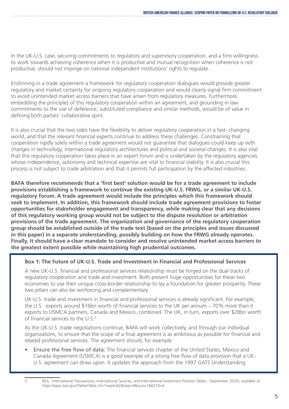In the UK-U.S. case, securing commitments to regulatory and supervisory cooperation, and a firm willingness to work towards achieving coherence when it is productive and mutual recognition when coherence is not productive, should not impinge on national independent institutions' rights to regulate.

Enshrining in a trade agreement a framework for regulatory cooperation dialogues would provide greater regulatory and market certainty for ongoing regulatory cooperation and would clearly signal firm commitment to avoid unintended market access barriers that have arisen from regulatory measures. Furthermore, embedding the principles of this regulatory cooperation within an agreement, and grounding in law commitments to the use of deference, substituted compliance and similar methods, would be of value in defining both parties' collaborative spirit.

It is also crucial that the two sides have the flexibility to deliver regulatory cooperation in a fast- changing world, and that the relevant financial experts continue to address these challenges. Constraining that cooperation rigidly solely within a trade agreement would not guarantee that dialogues could keep up with changes in technology, international regulatory architectures and political and societal changes. It is also vital that this regulatory cooperation takes place in an expert forum and is undertaken by the regulatory agencies whose independence, autonomy and technical expertise are vital to financial stability. It is also crucial this process is not subject to trade arbitration and that it permits full participation by the affected industries.

**BAFA therefore recommends that a 'first best' solution would be for a trade agreement to include provisions establishing a framework to continue the existing UK-U.S. FRWG, or a similar UK-U.S. regulatory forum. A trade agreement would include the principles which this framework should seek to implement. In addition, this framework should include trade agreement provisions to foster opportunities for stakeholder engagement and transparency, while making clear that any decisions of this regulatory working group would not be subject to the dispute resolution or arbitration provisions of the trade agreement. The organization and governance of the regulatory cooperation group should be established outside of the trade text (based on the principles and issues discussed in this paper) in a separate understanding, possibly building on how the FRWG already operates. Finally, it should have a clear mandate to consider and resolve unintended market access barriers to the greatest extent possible while maintaining high prudential outcomes.**

#### **Box 1: The Future of UK-U.S. Trade and Investment in Financial and Professional Services**

A new UK-U.S. financial and professional services relationship must be forged on the dual tracks of regulatory cooperation and trade and investment. Both present huge opportunities for these two economies to use their unique cross-border relationship to lay a foundation for greater prosperity. These two pillars can also be reinforcing and complementary.

UK-U.S. trade and investment in financial and professional services is already significant. For example, the U.S. exports around \$16bn worth of financial services to the UK per annum – 70% more than it exports to USMCA partners, Canada and Mexico, combined. The UK, in turn, exports over \$28bn worth of financial services to the U.S.<sup>3</sup>

As the UK-U.S. trade negotiations continue, BAFA will work collectively, and through our individual organizations, to ensure that the scope of a final agreement is as ambitious as possible for financial and related professional services. The agreement should, for example:

• Ensure the free flow of data: The financial services chapter of the United States, Mexico and Canada Agreement (USMCA) is a good example of a strong free flow of data provision that a UK-U.S. agreement can draw upon. It updates the approach from the 1997 GATS Understanding.

<sup>3.</sup> BEA, 'International Transactions, International Services, and International Investment Position Tables', (September 2020), available at: https://apps.bea.gov/iTable/iTable.cfm?reqid=62&step=9&isuri=1&6210=4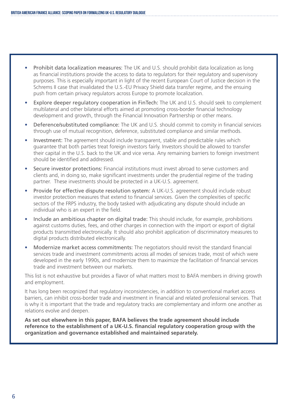- Prohibit data localization measures: The UK and U.S. should prohibit data localization as long as financial institutions provide the access to data to regulators for their regulatory and supervisory purposes. This is especially important in light of the recent European Court of Justice decision in the Schrems II case that invalidated the U.S.-EU Privacy Shield data transfer regime, and the ensuing push from certain privacy regulators across Europe to promote localization.
- Explore deeper regulatory cooperation in FinTech: The UK and U.S. should seek to complement multilateral and other bilateral efforts aimed at promoting cross-border financial technology development and growth, through the Financial Innovation Partnership or other means.
- Deference/substituted compliance: The UK and U.S. should commit to comity in financial services through use of mutual recognition, deference, substituted compliance and similar methods.
- Investment: The agreement should include transparent, stable and predictable rules which guarantee that both parties treat foreign investors fairly. Investors should be allowed to transfer their capital in the U.S. back to the UK and vice versa. Any remaining barriers to foreign investment should be identified and addressed.
- Secure investor protections: Financial institutions must invest abroad to serve customers and clients and, in doing so, make significant investments under the prudential regime of the trading partner. These investments should be protected in a UK-U.S. agreement.
- Provide for effective dispute resolution system: A UK-U.S. agreement should include robust investor protection measures that extend to financial services. Given the complexities of specific sectors of the FRPS industry, the body tasked with adjudicating any dispute should include an individual who is an expert in the field.
- Include an ambitious chapter on digital trade: This should include, for example, prohibitions against customs duties, fees, and other charges in connection with the import or export of digital products transmitted electronically. It should also prohibit application of discriminatory measures to digital products distributed electronically.
- Modernize market access commitments: The negotiators should revisit the standard financial services trade and investment commitments across all modes of services trade, most of which were developed in the early 1990s, and modernize them to maximize the facilitation of financial services trade and investment between our markets.

This list is not exhaustive but provides a flavor of what matters most to BAFA members in driving growth and employment.

It has long been recognized that regulatory inconsistencies, in addition to conventional market access barriers, can inhibit cross-border trade and investment in financial and related professional services. That is why it is important that the trade and regulatory tracks are complementary and inform one another as relations evolve and deepen.

**As set out elsewhere in this paper, BAFA believes the trade agreement should include reference to the establishment of a UK-U.S. financial regulatory cooperation group with the organization and governance established and maintained separately.**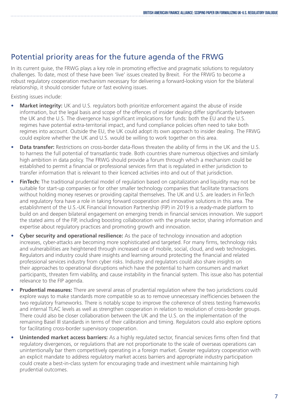## Potential priority areas for the future agenda of the FRWG

In its current guise, the FRWG plays a key role in promoting effective and pragmatic solutions to regulatory challenges. To date, most of these have been 'live' issues created by Brexit. For the FRWG to become a robust regulatory cooperation mechanism necessary for delivering a forward-looking vision for the bilateral relationship, it should consider future or fast evolving issues.

Existing issues include:

- **Market integrity:** UK and U.S. regulators both prioritize enforcement against the abuse of inside information, but the legal basis and scope of the offences of insider dealing differ significantly between the UK and the U.S. The divergence has significant implications for funds: both the EU and the U.S. regimes have potential extra-territorial impact, and fund compliance policies often need to take both regimes into account. Outside the EU, the UK could adopt its own approach to insider dealing. The FRWG could explore whether the UK and U.S. would be willing to work together on this area.
- **Data transfer:** Restrictions on cross-border data-flows threaten the ability of firms in the UK and the U.S. to harness the full potential of transatlantic trade. Both countries share numerous objectives and similarly high ambition in data policy. The FRWG should provide a forum through which a mechanism could be established to permit a financial or professional services firm that is regulated in either jurisdiction to transfer information that is relevant to their licenced activities into and out of that jurisdiction.
- **FinTech:** The traditional prudential model of regulation based on capitalization and liquidity may not be suitable for start-up companies or for other smaller technology companies that facilitate transactions without holding money reserves or providing capital themselves. The UK and U.S. are leaders in FinTech and regulatory fora have a role in taking forward cooperation and innovative solutions in this area. The establishment of the U.S.-UK Financial Innovation Partnership (FIP) in 2019 is a ready-made platform to build on and deepen bilateral engagement on emerging trends in financial services innovation. We support the stated aims of the FIP, including boosting collaboration with the private sector, sharing information and expertise about regulatory practices and promoting growth and innovation.
- **• Cyber security and operational resilience:** As the pace of technology innovation and adoption increases, cyber-attacks are becoming more sophisticated and targeted. For many firms, technology risks and vulnerabilities are heightened through increased use of mobile, social, cloud, and web technologies. Regulators and industry could share insights and learning around protecting the financial and related professional services industry from cyber risks. Industry and regulators could also share insights on their approaches to operational disruptions which have the potential to harm consumers and market participants, threaten firm viability, and cause instability in the financial system. This issue also has potential relevance to the FIP agenda.
- **• Prudential measures:** There are several areas of prudential regulation where the two jurisdictions could explore ways to make standards more compatible so as to remove unnecessary inefficiencies between the two regulatory frameworks. There is notably scope to improve the coherence of stress testing frameworks and internal TLAC levels as well as strengthen cooperation in relation to resolution of cross-border groups. There could also be closer collaboration between the UK and the U.S. on the implementation of the remaining Basel III standards in terms of their calibration and timing. Regulators could also explore options for facilitating cross-border supervisory cooperation.
- **• Unintended market access barriers:** As a highly regulated sector, financial services firms often find that regulatory divergences, or regulations that are not proportionate to the scale of overseas operations can unintentionally bar them competitively operating in a foreign market. Greater regulatory cooperation with an explicit mandate to address regulatory market access barriers and appropriate industry participation could create a best-in-class system for encouraging trade and investment while maintaining high prudential outcomes.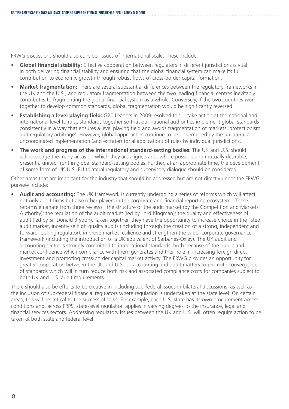FRWG discussions should also consider issues of international scale. These include:

- **• Global financial stability:** Effective cooperation between regulators in different jurisdictions is vital in both delivering financial stability and ensuring that the global financial system can make its full contribution to economic growth through robust flows of cross-border capital formation.
- **• Market fragmentation:** There are several substantial differences between the regulatory frameworks in the UK and the U.S., and regulatory fragmentation between the two leading financial centres inevitably contributes to fragmenting the global financial system as a whole. Conversely, if the two countries work together to develop common standards, global fragmentation would be significantly reversed.
- **• Establishing a level playing field:** G20 Leaders in 2009 resolved to '… take action at the national and international level to raise standards together so that our national authorities implement global standards consistently in a way that ensures a level playing field and avoids fragmentation of markets, protectionism, and regulatory arbitrage'. However, global approaches continue to be undermined by the unilateral and uncoordinated implementation (and extraterritorial application) of rules by individual jurisdictions.
- **• The work and progress of the international standard-setting bodies:** The UK and U.S. should acknowledge the many areas on which they are aligned and, where possible and mutually desirable, present a united front in global standard-setting bodies. Further, at an appropriate time, the development of some form of UK-U.S.-EU trilateral regulatory and supervisory dialogue should be considered.

Other areas that are important for the industry that should be addressed but are not directly under the FRWG purview include:

**• Audit and accounting:** The UK framework is currently undergoing a series of reforms which will affect not only audit firms but also other players in the corporate and financial reporting ecosystem. These reforms emanate from three reviews: the structure of the audit market (by the Competition and Markets Authority); the regulation of the audit market (led by Lord Kingman); the quality and effectiveness of audit (led by Sir Donald Brydon). Taken together, they have the opportunity to increase choice in the listed audit market, incentivise high quality audits (including through the creation of a strong, independent and forward-looking regulator), improve market resilience and strengthen the wider corporate governance framework (including the introduction of a UK equivalent of Sarbanes-Oxley). The UK audit and accounting sector is strongly committed to international standards, both because of the public and market confidence which compliance with them generates and their role in increasing foreign direct investment and promoting cross-border capital market activity. The FRWG provides an opportunity for greater cooperation between the UK and U.S. on accounting and audit matters to promote convergence of standards which will in turn reduce both risk and associated compliance costs for companies subject to both UK and U.S. audit requirements.

There should also be efforts to be creative in including sub-federal issues in bilateral discussions, as well as the inclusion of sub-federal financial regulators where regulation is undertaken at the state level. On certain areas, this will be critical to the success of talks. For example, each U.S. state has its own procurement access conditions and, across FRPS, state-level regulation applies in varying degrees to the insurance, legal and financial services sectors. Addressing regulatory issues between the UK and U.S. will often require action to be taken at both state and federal level.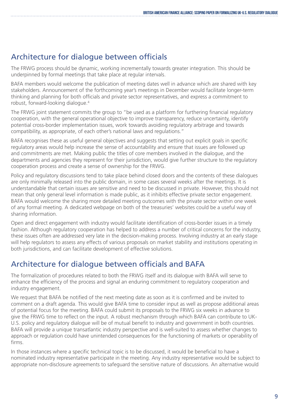## Architecture for dialogue between officials

The FRWG process should be dynamic, working incrementally towards greater integration. This should be underpinned by formal meetings that take place at regular intervals.

BAFA members would welcome the publication of meeting dates well in advance which are shared with key stakeholders. Announcement of the forthcoming year's meetings in December would facilitate longer-term thinking and planning for both officials and private sector representatives, and express a commitment to robust, forward-looking dialogue.4

The FRWG joint statement commits the group to "be used as a platform for furthering financial regulatory cooperation, with the general operational objective to improve transparency, reduce uncertainty, identify potential cross-border implementation issues, work towards avoiding regulatory arbitrage and towards compatibility, as appropriate, of each other's national laws and regulations."

BAFA recognises these as useful general objectives and suggests that setting out explicit goals in specific regulatory areas would help increase the sense of accountability and ensure that issues are followed up and commitments are met. Making public the titles of core members involved in the dialogue, and the departments and agencies they represent for their jurisdiction, would give further structure to the regulatory cooperation process and create a sense of ownership for the FRWG.

Policy and regulatory discussions tend to take place behind closed doors and the contents of these dialogues are only minimally released into the public domain, in some cases several weeks after the meetings. It is understandable that certain issues are sensitive and need to be discussed in private. However, this should not mean that only general level information is made public, as it inhibits effective private sector engagement. BAFA would welcome the sharing more detailed meeting outcomes with the private sector within one week of any formal meeting. A dedicated webpage on both of the treasuries' websites could be a useful way of sharing information.

Open and direct engagement with industry would facilitate identification of cross-border issues in a timely fashion. Although regulatory cooperation has helped to address a number of critical concerns for the industry, these issues often are addressed very late in the decision-making process. Involving industry at an early stage will help regulators to assess any effects of various proposals on market stability and institutions operating in both jurisdictions, and can facilitate development of effective solutions.

## Architecture for dialogue between officials and BAFA

The formalization of procedures related to both the FRWG itself and its dialogue with BAFA will serve to enhance the efficiency of the process and signal an enduring commitment to regulatory cooperation and industry engagement.

We request that BAFA be notified of the next meeting date as soon as it is confirmed and be invited to comment on a draft agenda. This would give BAFA time to consider input as well as propose additional areas of potential focus for the meeting. BAFA could submit its proposals to the FRWG six weeks in advance to give the FRWG time to reflect on the input. A robust mechanism through which BAFA can contribute to UK-U.S. policy and regulatory dialogue will be of mutual benefit to industry and government in both countries. BAFA will provide a unique transatlantic industry perspective and is well-suited to assess whether changes to approach or regulation could have unintended consequences for the functioning of markets or operability of firms.

In those instances where a specific technical topic is to be discussed, it would be beneficial to have a nominated industry representative participate in the meeting. Any industry representative would be subject to appropriate non-disclosure agreements to safeguard the sensitive nature of discussions. An alternative would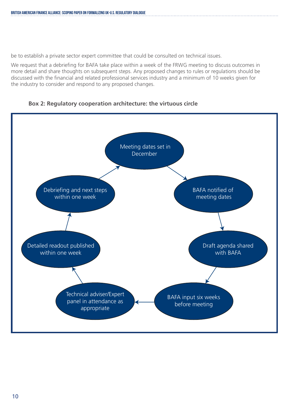be to establish a private sector expert committee that could be consulted on technical issues.

We request that a debriefing for BAFA take place within a week of the FRWG meeting to discuss outcomes in more detail and share thoughts on subsequent steps. Any proposed changes to rules or regulations should be discussed with the financial and related professional services industry and a minimum of 10 weeks given for the industry to consider and respond to any proposed changes.

#### **Box 2: Regulatory cooperation architecture: the virtuous circle**